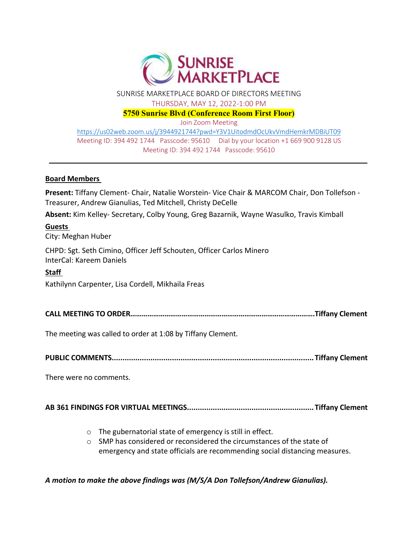

SUNRISE MARKETPLACE BOARD OF DIRECTORS MEETING

THURSDAY, MAY 12, 2022‐1:00 PM

**5750 Sunrise Blvd (Conference Room First Floor)** 

Join Zoom Meeting

https://us02web.zoom.us/j/3944921744?pwd=Y3V1UitodmdOcUkvVmdHemkrMDBiUT09 Meeting ID: 394 492 1744 Passcode: 95610 Dial by your location +1 669 900 9128 US Meeting ID: 394 492 1744 Passcode: 95610

#### **Board Members**

**Present:** Tiffany Clement‐ Chair, Natalie Worstein‐ Vice Chair & MARCOM Chair, Don Tollefson ‐ Treasurer, Andrew Gianulias, Ted Mitchell, Christy DeCelle

**Absent:** Kim Kelley‐ Secretary, Colby Young, Greg Bazarnik, Wayne Wasulko, Travis Kimball

#### **Guests**

City: Meghan Huber

CHPD: Sgt. Seth Cimino, Officer Jeff Schouten, Officer Carlos Minero InterCal: Kareem Daniels

#### **Staff**

Kathilynn Carpenter, Lisa Cordell, Mikhaila Freas

**CALL MEETING TO ORDER…………………………………………………………………………………….Tiffany Clement**

The meeting was called to order at 1:08 by Tiffany Clement.

**PUBLIC COMMENTS.............................................................................................. Tiffany Clement**

There were no comments.

### **AB 361 FINDINGS FOR VIRTUAL MEETINGS........................................................... Tiffany Clement**

- o The gubernatorial state of emergency is still in effect.
- o SMP has considered or reconsidered the circumstances of the state of emergency and state officials are recommending social distancing measures.

*A motion to make the above findings was (M/S/A Don Tollefson/Andrew Gianulias).*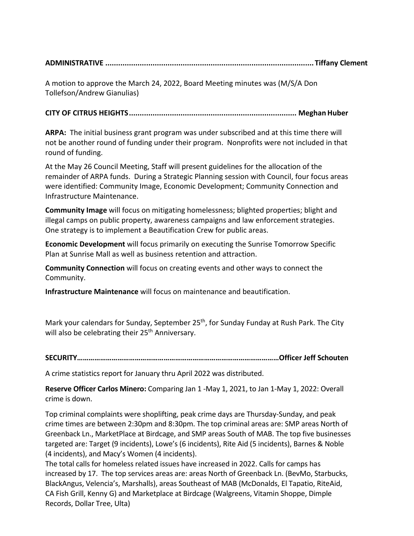# **ADMINISTRATIVE ................................................................................................. Tiffany Clement**

A motion to approve the March 24, 2022, Board Meeting minutes was (M/S/A Don Tollefson/Andrew Gianulias)

# **CITY OF CITRUS HEIGHTS.............................................................................. Meghan Huber**

**ARPA:** The initial business grant program was under subscribed and at this time there will not be another round of funding under their program. Nonprofits were not included in that round of funding.

At the May 26 Council Meeting, Staff will present guidelines for the allocation of the remainder of ARPA funds. During a Strategic Planning session with Council, four focus areas were identified: Community Image, Economic Development; Community Connection and Infrastructure Maintenance.

**Community Image** will focus on mitigating homelessness; blighted properties; blight and illegal camps on public property, awareness campaigns and law enforcement strategies. One strategy is to implement a Beautification Crew for public areas.

**Economic Development** will focus primarily on executing the Sunrise Tomorrow Specific Plan at Sunrise Mall as well as business retention and attraction.

**Community Connection** will focus on creating events and other ways to connect the Community.

**Infrastructure Maintenance** will focus on maintenance and beautification.

Mark your calendars for Sunday, September 25<sup>th</sup>, for Sunday Funday at Rush Park. The City will also be celebrating their 25<sup>th</sup> Anniversary.

**SECURITY……………………………………………………………………………………………Officer Jeff Schouten**

A crime statistics report for January thru April 2022 was distributed.

**Reserve Officer Carlos Minero:** Comparing Jan 1 ‐May 1, 2021, to Jan 1‐May 1, 2022: Overall crime is down.

Top criminal complaints were shoplifting, peak crime days are Thursday‐Sunday, and peak crime times are between 2:30pm and 8:30pm. The top criminal areas are: SMP areas North of Greenback Ln., MarketPlace at Birdcage, and SMP areas South of MAB. The top five businesses targeted are: Target (9 incidents), Lowe's (6 incidents), Rite Aid (5 incidents), Barnes & Noble (4 incidents), and Macy's Women (4 incidents).

The total calls for homeless related issues have increased in 2022. Calls for camps has increased by 17. The top services areas are: areas North of Greenback Ln. (BevMo, Starbucks, BlackAngus, Velencia's, Marshalls), areas Southeast of MAB (McDonalds, El Tapatio, RiteAid, CA Fish Grill, Kenny G) and Marketplace at Birdcage (Walgreens, Vitamin Shoppe, Dimple Records, Dollar Tree, Ulta)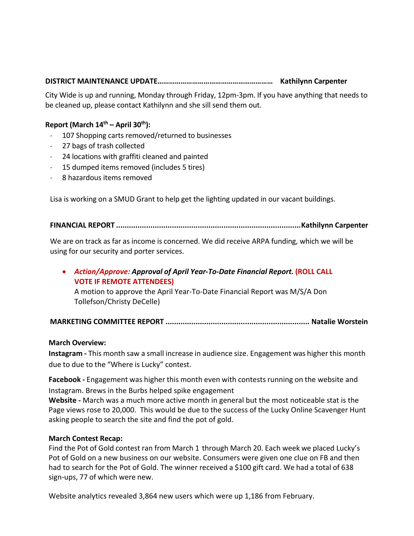## **DISTRICT MAINTENANCE UPDATE…………………………………………………… Kathilynn Carpenter**

City Wide is up and running, Monday through Friday, 12pm‐3pm. If you have anything that needs to be cleaned up, please contact Kathilynn and she sill send them out.

### **Report (March 14th – April 30th):**

- 107 Shopping carts removed/returned to businesses
- ‐ 27 bags of trash collected
- ‐ 24 locations with graffiti cleaned and painted
- ‐ 15 dumped items removed (includes 5 tires)
- ‐ 8 hazardous items removed

Lisa is working on a SMUD Grant to help get the lighting updated in our vacant buildings.

#### **FINANCIAL REPORT ......................................................................................Kathilynn Carpenter**

We are on track as far as income is concerned. We did receive ARPA funding, which we will be using for our security and porter services.

# *Action/Approve: Approval of April Year‐To‐Date Financial Report.* **(ROLL CALL VOTE IF REMOTE ATTENDEES)**

A motion to approve the April Year‐To‐Date Financial Report was M/S/A Don Tollefson/Christy DeCelle)

## **MARKETING COMMITTEE REPORT ................................................................... Natalie Worstein**

#### **March Overview:**

**Instagram ‐** This month saw a small increase in audience size. Engagement was higher this month due to due to the "Where is Lucky" contest.

**Facebook ‐** Engagement was higher this month even with contests running on the website and Instagram. Brews in the Burbs helped spike engagement

**Website ‐** March was a much more active month in general but the most noticeable stat is the Page views rose to 20,000. This would be due to the success of the Lucky Online Scavenger Hunt asking people to search the site and find the pot of gold.

#### **March Contest Recap:**

Find the Pot of Gold contest ran from March 1 through March 20. Each week we placed Lucky's Pot of Gold on a new business on our website. Consumers were given one clue on FB and then had to search for the Pot of Gold. The winner received a \$100 gift card. We had a total of 638 sign‐ups, 77 of which were new.

Website analytics revealed 3,864 new users which were up 1,186 from February.